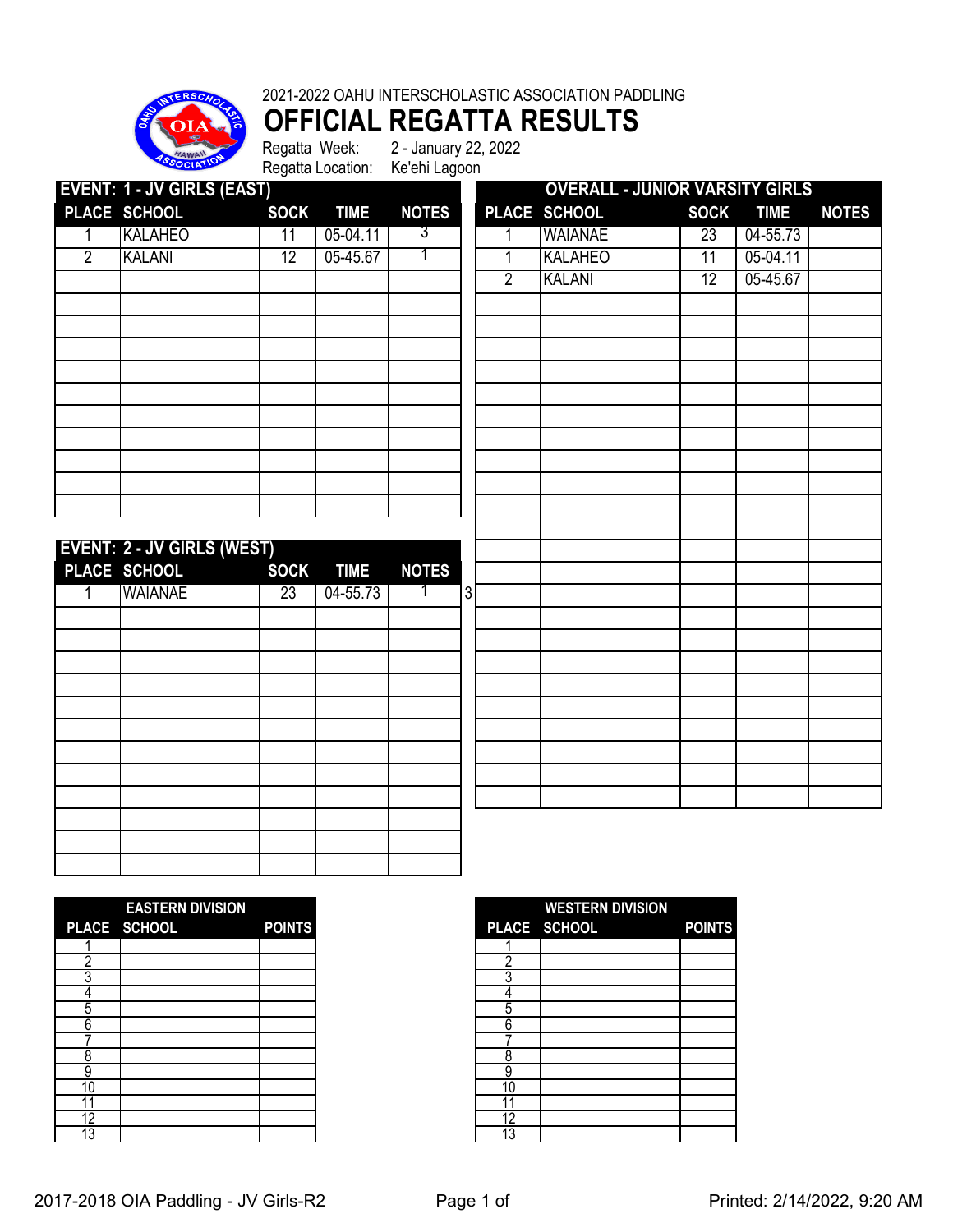

# **OFFICIAL REGATTA RESULTS**<br>Regatta Week: 2-January 22, 2022

2 - January 22, 2022 Regatta Location: Ke'ehi Lagoon

|                | <b>EVENT: 1 - JV GIRLS (EAST)</b> |                 |             |              |                | <b>OVERALL - JUNIOR VARSITY GIRLS</b> |             |             |              |
|----------------|-----------------------------------|-----------------|-------------|--------------|----------------|---------------------------------------|-------------|-------------|--------------|
|                | PLACE SCHOOL                      | <b>SOCK</b>     | <b>TIME</b> | <b>NOTES</b> |                | PLACE SCHOOL                          | <b>SOCK</b> | <b>TIME</b> | <b>NOTES</b> |
| 1              | <b>KALAHEO</b>                    | 11              | 05-04.11    | 3            |                | <b>WAIANAE</b>                        | 23          | 04-55.73    |              |
| $\overline{2}$ | <b>KALANI</b>                     | $\overline{12}$ | 05-45.67    | 1            | 1              | <b>KALAHEO</b>                        | 11          | 05-04.11    |              |
|                |                                   |                 |             |              | $\overline{2}$ | <b>KALANI</b>                         | 12          | 05-45.67    |              |
|                |                                   |                 |             |              |                |                                       |             |             |              |
|                |                                   |                 |             |              |                |                                       |             |             |              |
|                |                                   |                 |             |              |                |                                       |             |             |              |
|                |                                   |                 |             |              |                |                                       |             |             |              |
|                |                                   |                 |             |              |                |                                       |             |             |              |
|                |                                   |                 |             |              |                |                                       |             |             |              |
|                |                                   |                 |             |              |                |                                       |             |             |              |
|                |                                   |                 |             |              |                |                                       |             |             |              |
|                |                                   |                 |             |              |                |                                       |             |             |              |
|                |                                   |                 |             |              |                |                                       |             |             |              |
|                | <b>EVENT: 2 - JV GIRLS (WEST)</b> |                 |             |              |                |                                       |             |             |              |
|                | PLACE SCHOOL                      | <b>SOCK</b>     | <b>TIME</b> | <b>NOTES</b> |                |                                       |             |             |              |
| 1              | <b>WAIANAE</b>                    | $\overline{23}$ | 04-55.73    |              | $\mathbf{3}$   |                                       |             |             |              |
|                |                                   |                 |             |              |                |                                       |             |             |              |
|                |                                   |                 |             |              |                |                                       |             |             |              |
|                |                                   |                 |             |              |                |                                       |             |             |              |
|                |                                   |                 |             |              |                |                                       |             |             |              |
|                |                                   |                 |             |              |                |                                       |             |             |              |
|                |                                   |                 |             |              |                |                                       |             |             |              |
|                |                                   |                 |             |              |                |                                       |             |             |              |
|                |                                   |                 |             |              |                |                                       |             |             |              |
|                |                                   |                 |             |              |                |                                       |             |             |              |
|                |                                   |                 |             |              |                |                                       |             |             |              |
|                |                                   |                 |             |              |                |                                       |             |             |              |

|    | <b>EASTERN DIVISION</b>               |               |
|----|---------------------------------------|---------------|
|    | PLACE SCHOOL<br><u>ta a shekara t</u> | <b>POINTS</b> |
|    |                                       |               |
|    |                                       |               |
|    |                                       |               |
|    |                                       |               |
| 5  |                                       |               |
| 6  |                                       |               |
|    |                                       |               |
| 8  |                                       |               |
| 9  |                                       |               |
| 10 |                                       |               |
|    |                                       |               |
| 12 |                                       |               |
| 13 |                                       |               |

|                 | <b>EASTERN DIVISION</b> |               |    | <b>WESTERN DIVISION</b> |               |
|-----------------|-------------------------|---------------|----|-------------------------|---------------|
|                 | PLACE SCHOOL            | <b>POINTS</b> |    | PLACE SCHOOL            | <b>POINTS</b> |
|                 |                         |               |    |                         |               |
|                 |                         |               |    |                         |               |
|                 |                         |               |    |                         |               |
|                 |                         |               |    |                         |               |
| 5               |                         |               | ۰. |                         |               |
| 6               |                         |               | 6  |                         |               |
|                 |                         |               |    |                         |               |
| 8               |                         |               |    |                         |               |
| 9               |                         |               | 9  |                         |               |
| 10              |                         |               | 10 |                         |               |
|                 |                         |               |    |                         |               |
| $\overline{12}$ |                         |               | 12 |                         |               |
| $\overline{13}$ |                         |               | 13 |                         |               |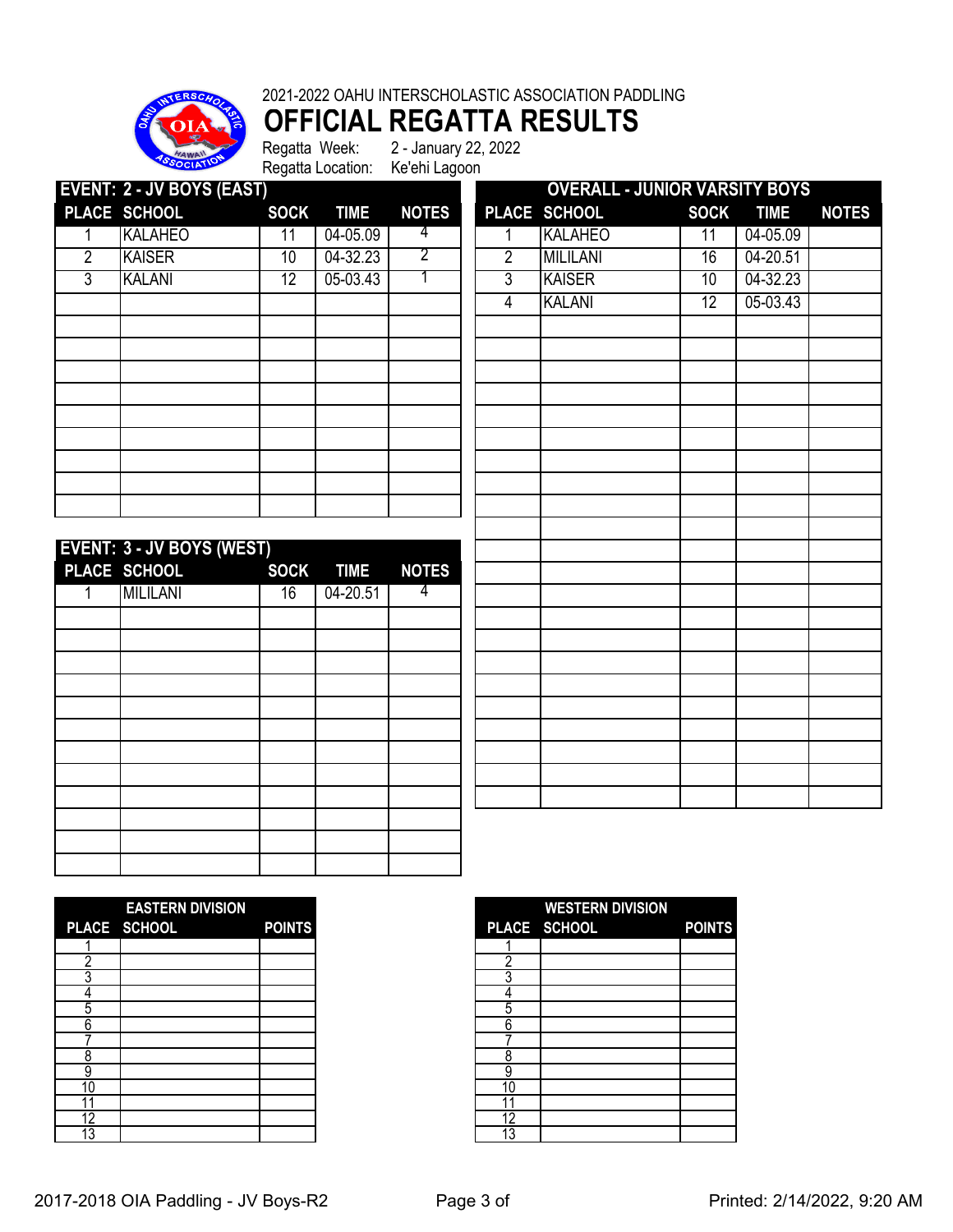

#### 2021-2022 OAHU INTERSCHOLASTIC ASSOCIATION PADDLING

# **OFFICIAL REGATTA RESULTS**<br>Regatta Week: 2-January 22, 2022

2 - January 22, 2022 Regatta Location: Ke'ehi Lagoon

|   |                                  |             |             | <b>INGURIA LOCATION.</b> INCOME LAGOON |   |                                      |                 |             |              |
|---|----------------------------------|-------------|-------------|----------------------------------------|---|--------------------------------------|-----------------|-------------|--------------|
|   | <b>EVENT: 2 - JV BOYS (EAST)</b> |             |             |                                        |   | <b>OVERALL - JUNIOR VARSITY BOYS</b> |                 |             |              |
|   | PLACE SCHOOL                     | <b>SOCK</b> | <b>TIME</b> | <b>NOTES</b>                           |   | PLACE SCHOOL                         | <b>SOCK</b>     | <b>TIME</b> | <b>NOTES</b> |
|   | <b>KALAHEO</b>                   | 11          | 04-05.09    | 4                                      |   | <b>KALAHEO</b>                       | 11              | 04-05.09    |              |
| 2 | <b>KAISER</b>                    | 10          | 04-32.23    |                                        | 2 | <b>MILILANI</b>                      | 16              | 04-20.51    |              |
| 3 | <b>KALANI</b>                    | 12          | 05-03.43    |                                        | 3 | <b>KAISER</b>                        | 10              | 04-32.23    |              |
|   |                                  |             |             |                                        | 4 | <b>KALANI</b>                        | 12 <sup>°</sup> | 05-03.43    |              |
|   |                                  |             |             |                                        |   |                                      |                 |             |              |
|   |                                  |             |             |                                        |   |                                      |                 |             |              |
|   |                                  |             |             |                                        |   |                                      |                 |             |              |
|   |                                  |             |             |                                        |   |                                      |                 |             |              |
|   |                                  |             |             |                                        |   |                                      |                 |             |              |
|   |                                  |             |             |                                        |   |                                      |                 |             |              |
|   |                                  |             |             |                                        |   |                                      |                 |             |              |
|   |                                  |             |             |                                        |   |                                      |                 |             |              |
|   |                                  |             |             |                                        |   |                                      |                 |             |              |
|   | <b>FVENT: 3 . IV ROYS (WEST)</b> |             |             |                                        |   |                                      |                 |             |              |
|   |                                  |             |             |                                        |   |                                      |                 |             |              |

| EVENT: 3 - JV BOYS (WEST) |    |           |              |
|---------------------------|----|-----------|--------------|
| PLACE SCHOOL              |    | SOCK TIME | <b>NOTES</b> |
| <b>MILILANI</b>           | 16 | 04-20.51  | 4            |
|                           |    |           |              |
|                           |    |           |              |
|                           |    |           |              |
|                           |    |           |              |
|                           |    |           |              |
|                           |    |           |              |
|                           |    |           |              |
|                           |    |           |              |
|                           |    |           |              |
|                           |    |           |              |
|                           |    |           |              |
|                           |    |           |              |

| $\overline{2}$ | <b>MILILANI</b> | 16 | 04-20.51 |  |
|----------------|-----------------|----|----------|--|
| $\overline{3}$ | <b>KAISER</b>   | 10 | 04-32.23 |  |
| $\overline{4}$ | <b>KALANI</b>   | 12 | 05-03.43 |  |
|                |                 |    |          |  |
|                |                 |    |          |  |
|                |                 |    |          |  |
|                |                 |    |          |  |
|                |                 |    |          |  |
|                |                 |    |          |  |
|                |                 |    |          |  |
|                |                 |    |          |  |
|                |                 |    |          |  |
|                |                 |    |          |  |
|                |                 |    |          |  |
|                |                 |    |          |  |
|                |                 |    |          |  |
|                |                 |    |          |  |
|                |                 |    |          |  |
|                |                 |    |          |  |
|                |                 |    |          |  |
|                |                 |    |          |  |
|                |                 |    |          |  |
|                |                 |    |          |  |
|                |                 |    |          |  |
|                |                 |    |          |  |

|    | <b>EASTERN DIVISION</b>             |               |
|----|-------------------------------------|---------------|
|    | PLACE SCHOOL<br><u>tan ang Pali</u> | <b>POINTS</b> |
|    |                                     |               |
|    |                                     |               |
|    |                                     |               |
|    |                                     |               |
| 5  |                                     |               |
| 6  |                                     |               |
|    |                                     |               |
| 8  |                                     |               |
|    |                                     |               |
| 10 |                                     |               |
|    |                                     |               |
| 12 |                                     |               |
| 3  |                                     |               |

|    | <b>EASTERN DIVISION</b> |               |    | <b>WESTERN DIVISION</b> |               |
|----|-------------------------|---------------|----|-------------------------|---------------|
|    | PLACE SCHOOL            | <b>POINTS</b> |    | PLACE SCHOOL            | <b>POINTS</b> |
|    |                         |               |    |                         |               |
|    |                         |               | ┍  |                         |               |
|    |                         |               |    |                         |               |
|    |                         |               |    |                         |               |
| C  |                         |               | 5  |                         |               |
| 6  |                         |               | 6  |                         |               |
|    |                         |               |    |                         |               |
|    |                         |               |    |                         |               |
| 9  |                         |               | 9  |                         |               |
| 10 |                         |               | 10 |                         |               |
|    |                         |               |    |                         |               |
| 12 |                         |               | 12 |                         |               |
| 13 |                         |               | 13 |                         |               |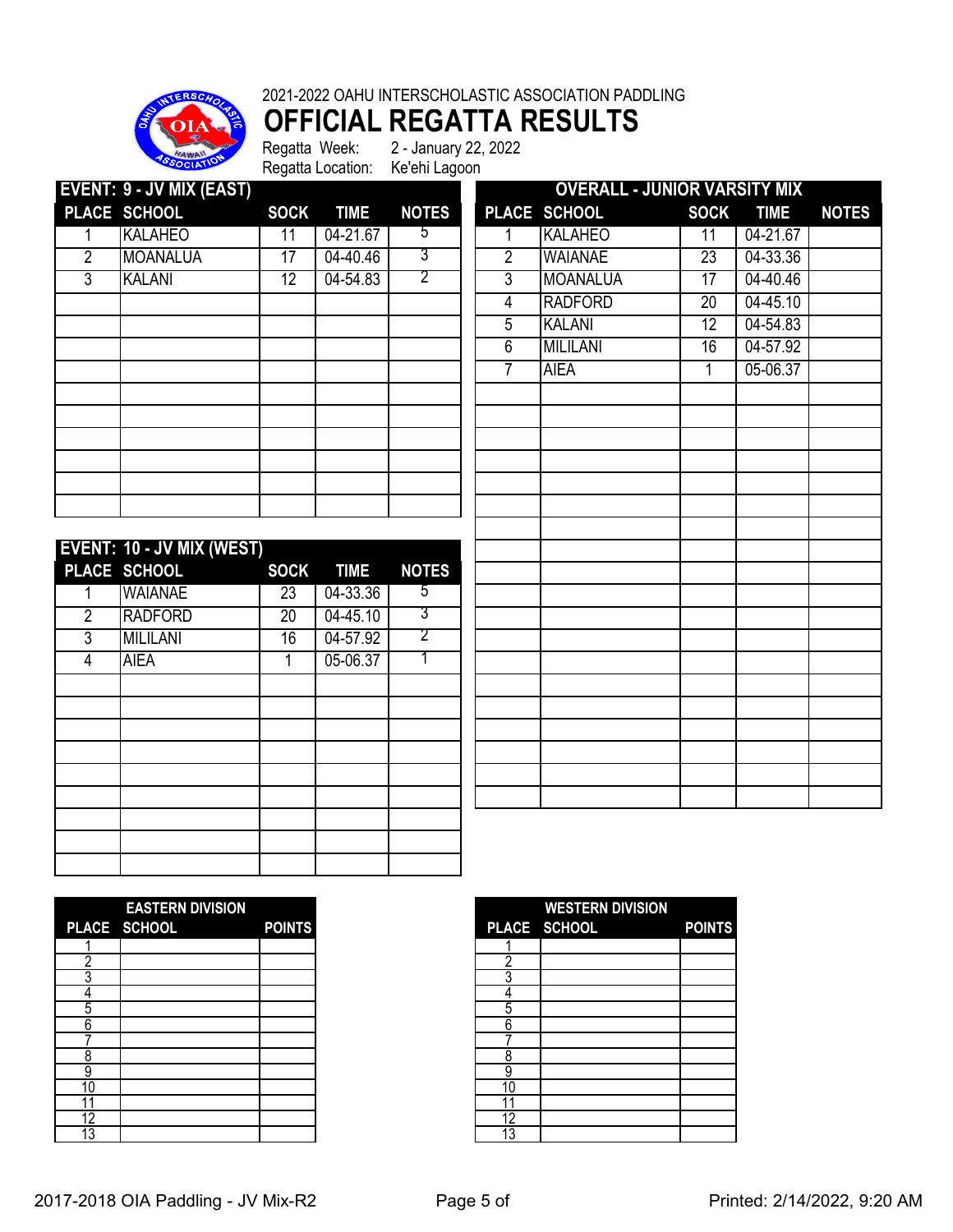

**OFFICIAL REGATTA RESULTS**

|                | EVENT: 9 - JV MIX (EAST)  |                 |             |                |                | <b>OVERALL - JUNIOR VARSITY MIX</b> |                 |             |              |
|----------------|---------------------------|-----------------|-------------|----------------|----------------|-------------------------------------|-----------------|-------------|--------------|
|                | PLACE SCHOOL              | <b>SOCK</b>     | <b>TIME</b> | <b>NOTES</b>   |                | PLACE SCHOOL                        | <b>SOCK</b>     | <b>TIME</b> | <b>NOTES</b> |
|                | <b>KALAHEO</b>            | 11              | 04-21.67    | 5              |                | <b>KALAHEO</b>                      | 11              | 04-21.67    |              |
| $\overline{2}$ | <b>MOANALUA</b>           | 17              | 04-40.46    | 3              | $\overline{2}$ | <b>WAIANAE</b>                      | 23              | 04-33.36    |              |
| 3              | KALANI                    | $\overline{12}$ | 04-54.83    | 2              | 3              | MOANALUA                            | $\overline{17}$ | 04-40.46    |              |
|                |                           |                 |             |                | 4              | <b>RADFORD</b>                      | $\overline{20}$ | 04-45.10    |              |
|                |                           |                 |             |                | 5              | <b>KALANI</b>                       | $\overline{12}$ | 04-54.83    |              |
|                |                           |                 |             |                | 6              | <b>MILILANI</b>                     | $\overline{16}$ | 04-57.92    |              |
|                |                           |                 |             |                | 7              | <b>AIEA</b>                         | 1               | 05-06.37    |              |
|                |                           |                 |             |                |                |                                     |                 |             |              |
|                |                           |                 |             |                |                |                                     |                 |             |              |
|                |                           |                 |             |                |                |                                     |                 |             |              |
|                |                           |                 |             |                |                |                                     |                 |             |              |
|                |                           |                 |             |                |                |                                     |                 |             |              |
|                |                           |                 |             |                |                |                                     |                 |             |              |
|                |                           |                 |             |                |                |                                     |                 |             |              |
|                | EVENT: 10 - JV MIX (WEST) |                 |             |                |                |                                     |                 |             |              |
|                | PLACE SCHOOL              | <b>SOCK</b>     | <b>TIME</b> | <b>NOTES</b>   |                |                                     |                 |             |              |
|                | WAIANAE                   | $\overline{23}$ | 04-33.36    | 5              |                |                                     |                 |             |              |
| $\overline{2}$ | <b>RADFORD</b>            | $\overline{20}$ | 04-45.10    | $\overline{3}$ |                |                                     |                 |             |              |
| 3              | <b>MILILANI</b>           | 16              | 04-57.92    | 2              |                |                                     |                 |             |              |
| 4              | <b>AIEA</b>               | 1               | 05-06.37    |                |                |                                     |                 |             |              |
|                |                           |                 |             |                |                |                                     |                 |             |              |
|                |                           |                 |             |                |                |                                     |                 |             |              |

|    | <b>EASTERN DIVISION</b> |               |
|----|-------------------------|---------------|
|    | PLACE SCHOOL            | <b>POINTS</b> |
|    |                         |               |
| o  |                         |               |
|    |                         |               |
|    |                         |               |
| 5  |                         |               |
| h  |                         |               |
|    |                         |               |
| ጸ  |                         |               |
|    |                         |               |
| 10 |                         |               |
| 11 |                         |               |
| 12 |                         |               |
| 13 |                         |               |

|    | <b>EASTERN DIVISION</b> |               |
|----|-------------------------|---------------|
|    | PLACE SCHOOL            | <b>POINTS</b> |
|    |                         |               |
|    |                         |               |
|    |                         |               |
|    |                         |               |
| C  |                         |               |
| 6  |                         |               |
|    |                         |               |
|    |                         |               |
| 9  |                         |               |
| 10 |                         |               |
|    |                         |               |
| 12 |                         |               |
| 13 |                         |               |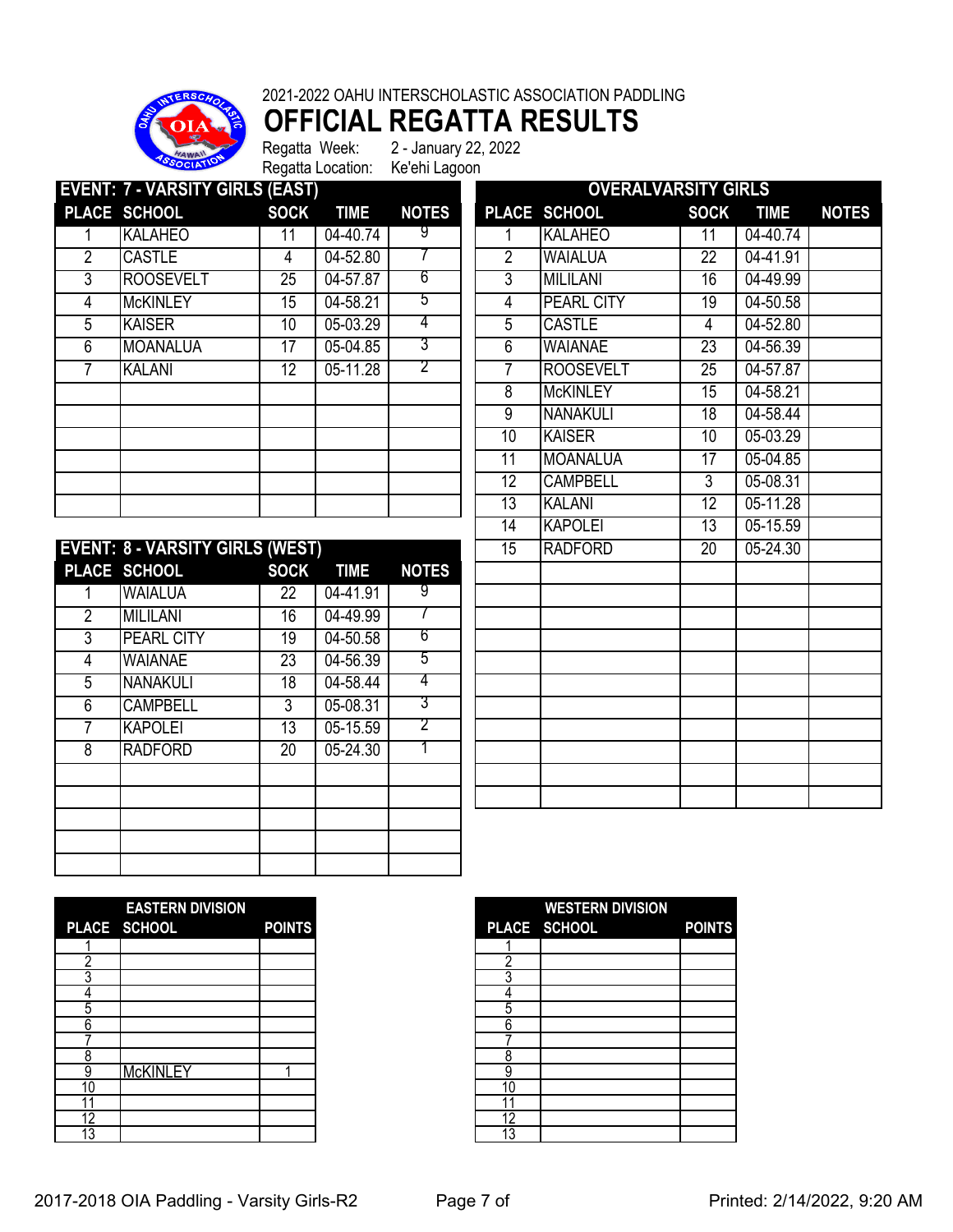

**OFFICIAL REGATTA RESULTS**

|                | <b>EVENT: 7 - VARSITY GIRLS (EAST)</b> |                 |             |              |    | <b>OVERALVARSITY GIRLS</b> |                 |             |              |
|----------------|----------------------------------------|-----------------|-------------|--------------|----|----------------------------|-----------------|-------------|--------------|
|                | PLACE SCHOOL                           | <b>SOCK</b>     | <b>TIME</b> | <b>NOTES</b> |    | PLACE SCHOOL               | <b>SOCK</b>     | <b>TIME</b> | <b>NOTES</b> |
|                | <b>KALAHEO</b>                         | 11              | 04-40.74    | 9            |    | <b>KALAHEO</b>             | 11              | 04-40.74    |              |
| $\overline{2}$ | <b>CASTLE</b>                          | 4               | 04-52.80    |              | 2  | <b>WAIALUA</b>             | 22              | 04-41.91    |              |
| 3              | <b>ROOSEVELT</b>                       | $2\overline{5}$ | 04-57.87    | 6            | 3  | <b>MILILANI</b>            | 16              | 04-49.99    |              |
| 4              | <b>McKINLEY</b>                        | 15              | 04-58.21    | 5            | 4  | <b>PEARL CITY</b>          | 19              | 04-50.58    |              |
| 5              | <b>KAISER</b>                          | 10              | 05-03.29    | 4            | 5  | <b>CASTLE</b>              | 4               | 04-52.80    |              |
| 6              | MOANALUA                               | 17              | 05-04.85    | 3            | 6  | <b>WAIANAE</b>             | 23              | 04-56.39    |              |
|                | <b>KALANI</b>                          | 12 <sup>2</sup> | 05-11.28    | 2            |    | <b>ROOSEVELT</b>           | 25              | 04-57.87    |              |
|                |                                        |                 |             |              | 8  | <b>McKINLEY</b>            | $1\overline{5}$ | 04-58.21    |              |
|                |                                        |                 |             |              | 9  | <b>NANAKULI</b>            | 18              | 04-58.44    |              |
|                |                                        |                 |             |              | 10 | <b>KAISER</b>              | 10              | 05-03.29    |              |
|                |                                        |                 |             |              | 11 | <b>MOANALUA</b>            | 17              | 05-04.85    |              |
|                |                                        |                 |             |              | 12 | <b>CAMPBELL</b>            | 3               | 05-08.31    |              |
|                |                                        |                 |             |              | 13 | <b>KALANI</b>              | $1\overline{2}$ | 05-11.28    |              |

|   | <b>EVENT: 8 - VARSITY GIRLS (WEST)</b> |             |             |              | $\overline{15}$ | <b>RADFORD</b> | $\overline{20}$ | 05-24.30 |
|---|----------------------------------------|-------------|-------------|--------------|-----------------|----------------|-----------------|----------|
|   | PLACE SCHOOL                           | <b>SOCK</b> | <b>TIME</b> | <b>NOTES</b> |                 |                |                 |          |
|   | <b>WAIALUA</b>                         | 22          | 04-41.91    | y            |                 |                |                 |          |
| 2 | <b>MILILANI</b>                        | 16          | 04-49.99    |              |                 |                |                 |          |
| 3 | <b>PEARL CITY</b>                      | 19          | 04-50.58    | 6            |                 |                |                 |          |
| 4 | WAIANAE                                | 23          | 04-56.39    | 5            |                 |                |                 |          |
| 5 | <b>NANAKULI</b>                        | 18          | 04-58.44    | 4            |                 |                |                 |          |
| 6 | <b>CAMPBELL</b>                        | 3           | 05-08.31    | 3            |                 |                |                 |          |
|   | <b>KAPOLEI</b>                         | 13          | 05-15.59    | 2            |                 |                |                 |          |
| 8 | <b>RADFORD</b>                         | 20          | 05-24.30    |              |                 |                |                 |          |
|   |                                        |             |             |              |                 |                |                 |          |
|   |                                        |             |             |              |                 |                |                 |          |
|   |                                        |             |             |              |                 |                |                 |          |
|   |                                        |             |             |              |                 |                |                 |          |
|   |                                        |             |             |              |                 |                |                 |          |

|                 | <b>OVERALVARSITY GIRLS</b> |                 |             |              |
|-----------------|----------------------------|-----------------|-------------|--------------|
| <b>PLACE</b>    | <b>SCHOOL</b>              | <b>SOCK</b>     | <b>TIME</b> | <b>NOTES</b> |
| 1               | <b>KALAHEO</b>             | 11              | 04-40.74    |              |
| $\overline{2}$  | <b>WAIALUA</b>             | $\overline{22}$ | 04-41.91    |              |
| 3               | <b>MILILANI</b>            | 16              | 04-49.99    |              |
| $\overline{4}$  | <b>PEARL CITY</b>          | $\overline{19}$ | 04-50.58    |              |
| 5               | <b>CASTLE</b>              | 4               | 04-52.80    |              |
| 6               | <b>WAIANAE</b>             | 23              | 04-56.39    |              |
| 7               | <b>ROOSEVELT</b>           | $\overline{25}$ | 04-57.87    |              |
| 8               | <b>McKINLEY</b>            | 15              | 04-58.21    |              |
| $\overline{9}$  | <b>NANAKULI</b>            | $\overline{18}$ | 04-58.44    |              |
| 10              | <b>KAISER</b>              | 10              | 05-03.29    |              |
| 11              | <b>MOANALUA</b>            | 17              | 05-04.85    |              |
| $\overline{12}$ | <b>CAMPBELL</b>            | $\overline{3}$  | 05-08.31    |              |
| $\overline{13}$ | <b>KALANI</b>              | $\overline{12}$ | 05-11.28    |              |
| 14              | <b>KAPOLEI</b>             | 13              | 05-15.59    |              |
| 15              | <b>RADFORD</b>             | $\overline{20}$ | 05-24.30    |              |
|                 |                            |                 |             |              |
|                 |                            |                 |             |              |
|                 |                            |                 |             |              |
|                 |                            |                 |             |              |
|                 |                            |                 |             |              |
|                 |                            |                 |             |              |
|                 |                            |                 |             |              |
|                 |                            |                 |             |              |
|                 |                            |                 |             |              |
|                 |                            |                 |             |              |
|                 |                            |                 |             |              |
|                 |                            |                 |             |              |

|     | <b>EASTERN DIVISION</b> |               |
|-----|-------------------------|---------------|
|     | PLACE SCHOOL            | <b>POINTS</b> |
|     |                         |               |
| ŋ   |                         |               |
|     |                         |               |
|     |                         |               |
| 5   |                         |               |
| 6   |                         |               |
|     |                         |               |
| 8   |                         |               |
| 9   | <b>McKINLEY</b>         |               |
| IC. |                         |               |
|     |                         |               |
| 12  |                         |               |
| 3   |                         |               |

|                 | <b>EASTERN DIVISION</b> |               |    | <b>WESTERN DIVISION</b> |               |
|-----------------|-------------------------|---------------|----|-------------------------|---------------|
|                 | <b>PLACE SCHOOL</b>     | <b>POINTS</b> |    | PLACE SCHOOL            | <b>POINTS</b> |
|                 |                         |               |    |                         |               |
|                 |                         |               | ┍  |                         |               |
|                 |                         |               |    |                         |               |
|                 |                         |               |    |                         |               |
| 5               |                         |               | h  |                         |               |
| 6               |                         |               | 6  |                         |               |
|                 |                         |               |    |                         |               |
| Õ               |                         |               |    |                         |               |
| 9               | <b>McKINLEY</b>         |               | 9  |                         |               |
| 10              |                         |               | 10 |                         |               |
|                 |                         |               |    |                         |               |
| 12              |                         |               | 12 |                         |               |
| $\overline{13}$ |                         |               | 13 |                         |               |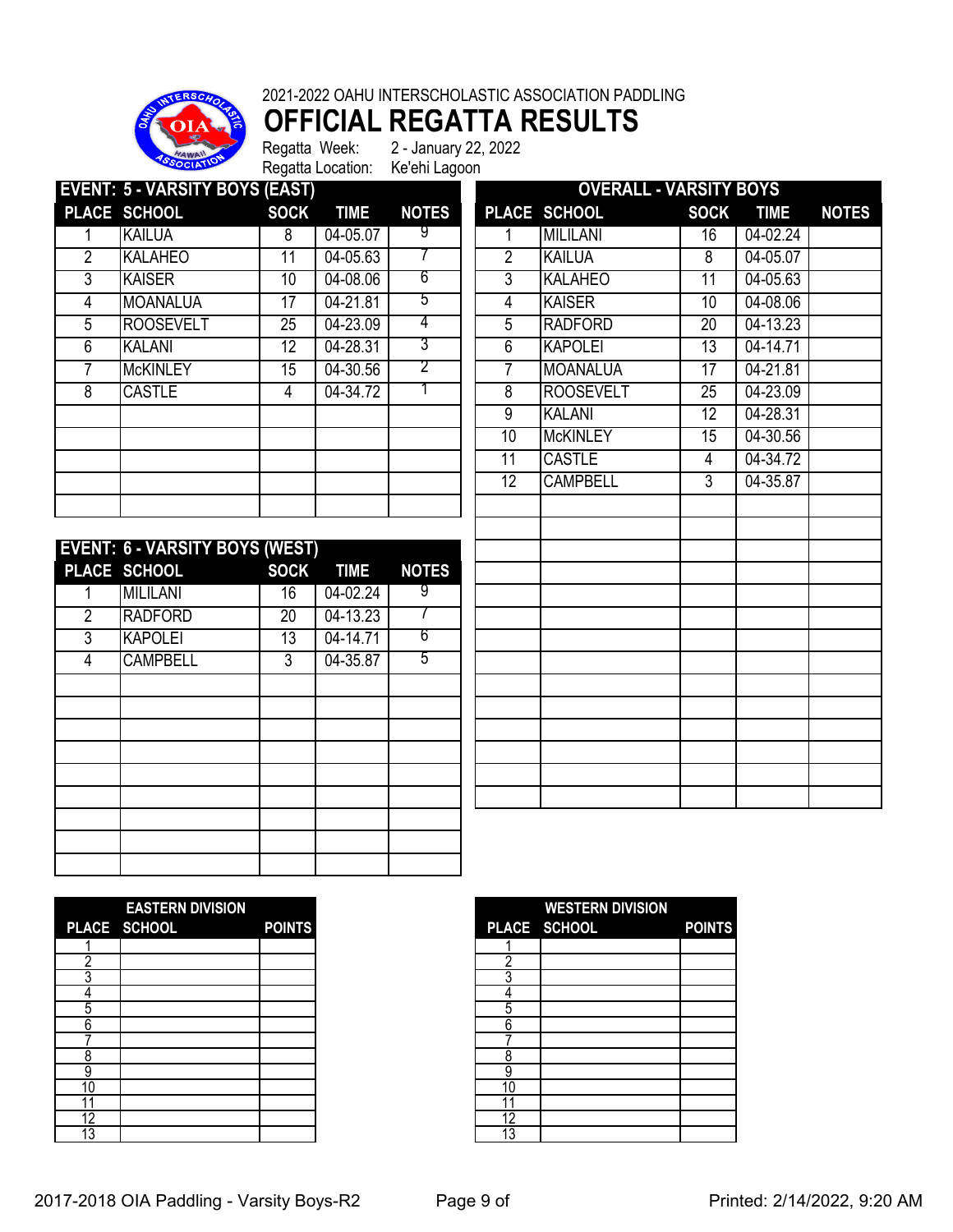

**OFFICIAL REGATTA RESULTS**

|                | <b>EVENT: 5 - VARSITY BOYS (EAST)</b> |                 |             |              |                 | <b>OVERALL - VARSITY BOYS</b> |             |              |              |
|----------------|---------------------------------------|-----------------|-------------|--------------|-----------------|-------------------------------|-------------|--------------|--------------|
|                | PLACE SCHOOL                          | <b>SOCK</b>     | <b>TIME</b> | <b>NOTES</b> |                 | PLACE SCHOOL                  | <b>SOCK</b> | <b>TIME</b>  | <b>NOTES</b> |
|                | <b>KAILUA</b>                         | 8               | 04-05.07    | 9            |                 | <b>MILILANI</b>               | 16          | 04-02.24     |              |
| $\overline{2}$ | <b>KALAHEO</b>                        | 11              | 04-05.63    |              | 2               | <b>KAILUA</b>                 | 8           | 04-05.07     |              |
| 3              | <b>KAISER</b>                         | 10 <sup>°</sup> | 04-08.06    | 6            | 3               | <b>KALAHEO</b>                | 11          | 04-05.63     |              |
| 4              | <b>MOANALUA</b>                       | 17              | 04-21.81    | 5            | 4               | <b>KAISER</b>                 | 10          | 04-08.06     |              |
| 5              | <b>ROOSEVELT</b>                      | 25              | 04-23.09    | 4            | 5               | <b>RADFORD</b>                | 20          | $04 - 13.23$ |              |
| 6              | <b>KALANI</b>                         | 12              | 04-28.31    | 3            | 6               | <b>KAPOLEI</b>                | 13          | 04-14.71     |              |
|                | <b>McKINLEY</b>                       | 15              | 04-30.56    | 2            |                 | <b>MOANALUA</b>               | 17          | 04-21.81     |              |
| 8              | <b>CASTLE</b>                         | 4               | 04-34.72    |              | 8               | <b>ROOSEVELT</b>              | 25          | 04-23.09     |              |
|                |                                       |                 |             |              | 9               | <b>KALANI</b>                 | 12          | 04-28.31     |              |
|                |                                       |                 |             |              | 10              | <b>McKINLEY</b>               | 15          | $04 - 30.56$ |              |
|                |                                       |                 |             |              | 11              | <b>CASTLE</b>                 | 4           | 04-34.72     |              |
|                |                                       |                 |             |              | 12 <sup>°</sup> | <b>CAMPBELL</b>               | 3           | 04-35.87     |              |
|                |                                       |                 |             |              |                 |                               |             |              |              |

|                | <b>EVENT: 6 - VARSITY BOYS (WEST)</b> |                 |             |              |
|----------------|---------------------------------------|-----------------|-------------|--------------|
|                | PLACE SCHOOL                          | <b>SOCK</b>     | <b>TIME</b> | <b>NOTES</b> |
|                | <b>MILILANI</b>                       | 16              | 04-02.24    | 9            |
| $\overline{2}$ | <b>RADFORD</b>                        | $\overline{20}$ | 04-13.23    |              |
| 3              | <b>KAPOLEI</b>                        | 13              | 04-14.71    | 6            |
| 4              | <b>CAMPBELL</b>                       | 3               | 04-35.87    | 5            |
|                |                                       |                 |             |              |
|                |                                       |                 |             |              |
|                |                                       |                 |             |              |
|                |                                       |                 |             |              |
|                |                                       |                 |             |              |
|                |                                       |                 |             |              |
|                |                                       |                 |             |              |
|                |                                       |                 |             |              |
|                |                                       |                 |             |              |

|                 | <u> UVERALL - VARSITY BUTS</u> |                 |             |              |
|-----------------|--------------------------------|-----------------|-------------|--------------|
| <b>PLACE</b>    | <b>SCHOOL</b>                  | <b>SOCK</b>     | <b>TIME</b> | <b>NOTES</b> |
| 1               | <b>MILILANI</b>                | $\overline{16}$ | 04-02.24    |              |
| $\overline{2}$  | <b>KAILUA</b>                  | 8               | 04-05.07    |              |
| 3               | <b>KALAHEO</b>                 | 11              | 04-05.63    |              |
| $\overline{4}$  | <b>KAISER</b>                  | $\overline{10}$ | 04-08.06    |              |
| 5               | <b>RADFORD</b>                 | $\overline{20}$ | 04-13.23    |              |
| 6               | <b>KAPOLEI</b>                 | $\overline{13}$ | 04-14.71    |              |
| $\overline{7}$  | <b>MOANALUA</b>                | 17              | 04-21.81    |              |
| 8               | <b>ROOSEVELT</b>               | $\overline{25}$ | 04-23.09    |              |
| $\overline{9}$  | <b>KALANI</b>                  | 12              | 04-28.31    |              |
| 10              | <b>McKINLEY</b>                | 15              | 04-30.56    |              |
| $\overline{11}$ | <b>CASTLE</b>                  | 4               | 04-34.72    |              |
| 12              | <b>CAMPBELL</b>                | 3               | 04-35.87    |              |
|                 |                                |                 |             |              |
|                 |                                |                 |             |              |
|                 |                                |                 |             |              |
|                 |                                |                 |             |              |
|                 |                                |                 |             |              |
|                 |                                |                 |             |              |
|                 |                                |                 |             |              |
|                 |                                |                 |             |              |
|                 |                                |                 |             |              |
|                 |                                |                 |             |              |
|                 |                                |                 |             |              |
|                 |                                |                 |             |              |
|                 |                                |                 |             |              |
|                 |                                |                 |             |              |
|                 |                                |                 |             |              |

|    | <b>EASTERN DIVISION</b> |               |
|----|-------------------------|---------------|
|    | PLACE SCHOOL            | <b>POINTS</b> |
|    |                         |               |
|    |                         |               |
| ◠  |                         |               |
|    |                         |               |
| 5  |                         |               |
| h  |                         |               |
|    |                         |               |
| ጸ  |                         |               |
|    |                         |               |
| 0  |                         |               |
|    |                         |               |
| 12 |                         |               |
| 3  |                         |               |

|    | <b>EASTERN DIVISION</b> |               |    | <b>WESTERN DIVISION</b> |               |
|----|-------------------------|---------------|----|-------------------------|---------------|
|    | PLACE SCHOOL            | <b>POINTS</b> |    | PLACE SCHOOL            | <b>POINTS</b> |
|    |                         |               |    |                         |               |
|    |                         |               |    |                         |               |
|    |                         |               |    |                         |               |
|    |                         |               |    |                         |               |
| 5  |                         |               | h  |                         |               |
| 6  |                         |               | 6  |                         |               |
|    |                         |               |    |                         |               |
| ი  |                         |               |    |                         |               |
| 9  |                         |               | 9  |                         |               |
| 10 |                         |               | 10 |                         |               |
|    |                         |               |    |                         |               |
| 12 |                         |               | 12 |                         |               |
| 13 |                         |               | 12 |                         |               |